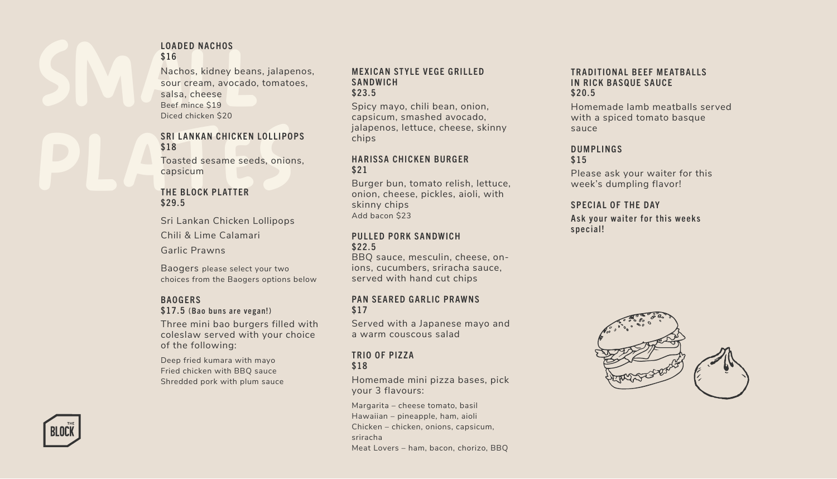#### LOADED NACHOS \$16

LOADED NACHOS<br>\$16<br>Nachos, kidney beans, jalap<br>sour cream, avocado, toma<br>salsa, cheese<br>Beef mince \$19<br>Diced chicken \$20 Nachos, kidney beans, jalapenos, sour cream, avocado, tomatoes, salsa, cheese Beef mince \$19 Diced chicken \$20

# Diced chicken \$20<br>
SRI LANKAN CHICKEN LOLLIPO<br>
\$18<br>
Toasted sesame seeds, onior<br>
capsicum<br>
THE BLOCK PLATTER<br>
\$29.5 SRI LANKAN CHICKEN LOLLIPOPS \$18 Toasted sesame seeds, onions,

capsicum

#### THE BLOCK PLATTER \$29.5

Sri Lankan Chicken Lollipops Chili & Lime Calamari Garlic Prawns

Baogers please select your two choices from the Baogers options below

## **BAOGERS**

### \$17.5 (Bao buns are vegan!)

Three mini bao burgers filled with coleslaw served with your choice of the following:

Deep fried kumara with mayo Fried chicken with BBQ sauce Shredded pork with plum sauce

#### **MEXICAN STYLE VEGE GRILLED SANDWICH** \$23.5

Spicy mayo, chili bean, onion, capsicum, smashed avocado, jalapenos, lettuce, cheese, skinny chips

#### **HARISSA CHICKEN BURGER** \$21

Burger bun, tomato relish, lettuce, onion, cheese, pickles, aioli, with skinny chips Add bacon \$23

#### PULLED PORK SANDWICH \$22.5

BBQ sauce, mesculin, cheese, onions, cucumbers, sriracha sauce, served with hand cut chips

#### PAN SEARED GARLIC PRAWNS \$17

Served with a Japanese mayo and a warm couscous salad

#### TRIO OF PIZZA \$18

Homemade mini pizza bases, pick your 3 flavours:

Margarita – cheese tomato, basil Hawaiian – pineapple, ham, aioli Chicken – chicken, onions, capsicum, sriracha Meat Lovers – ham, bacon, chorizo, BBQ

#### TRADITIONAL BEFF MEATRALLS IN RICK BASQUE SAUCE \$20.5

Homemade lamb meatballs served with a spiced tomato basque sauce

# **DUMPLINGS**

\$15

Please ask your waiter for this week's dumpling flavor!

#### SPECIAL OF THE DAY

Ask your waiter for this weeks special!